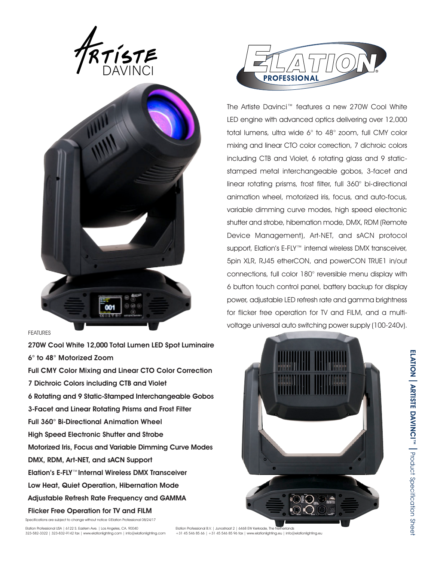



## FEATURES

270W Cool White 12,000 Total Lumen LED Spot Luminaire 6° to 48° Motorized Zoom Full CMY Color Mixing and Linear CTO Color Correction 7 Dichroic Colors including CTB and Violet 6 Rotating and 9 Static-Stamped Interchangeable Gobos 3-Facet and Linear Rotating Prisms and Frost Filter Full 360° Bi-Directional Animation Wheel High Speed Electronic Shutter and Strobe Motorized Iris, Focus and Variable Dimming Curve Modes DMX, RDM, Art-NET, and sACN Support Elation's E-FLY™Internal Wireless DMX Transceiver Low Heat, Quiet Operation, Hibernation Mode Adjustable Refresh Rate Frequency and GAMMA Flicker Free Operation for TV and FILM

Specifications are subject to change without notice ©Elation Professional 08/24/17



The Artiste Davinci™ features a new 270W Cool White LED engine with advanced optics delivering over 12,000 total lumens, ultra wide 6° to 48° zoom, full CMY color mixing and linear CTO color correction, 7 dichroic colors including CTB and Violet, 6 rotating glass and 9 staticstamped metal interchangeable gobos, 3-facet and linear rotating prisms, frost filter, full 360° bi-directional animation wheel, motorized iris, focus, and auto-focus, variable dimming curve modes, high speed electronic shutter and strobe, hibernation mode, DMX, RDM (Remote Device Management), Art-NET, and sACN protocol support, Elation's E-FLY™ internal wireless DMX transceiver, 5pin XLR, RJ45 etherCON, and powerCON TRUE1 in/out connections, full color 180° reversible menu display with 6 button touch control panel, battery backup for display power, adjustable LED refresh rate and gamma brightness for flicker free operation for TV and FILM, and a multivoltage universal auto switching power supply (100-240v).



ELATION **ELATION | ARTISTE DAVINCI"" |** Product Specification Shee ARTISTE DAVINCI™ I Product Specification Sheet

Elation Professional B.V. | Junostraat 2 | 6468 EW Kerkrade, The Netherlands +31 45 546 85 66 | +31 45 546 85 96 fax | www.elationlighting.eu | info@elationlighting.eu